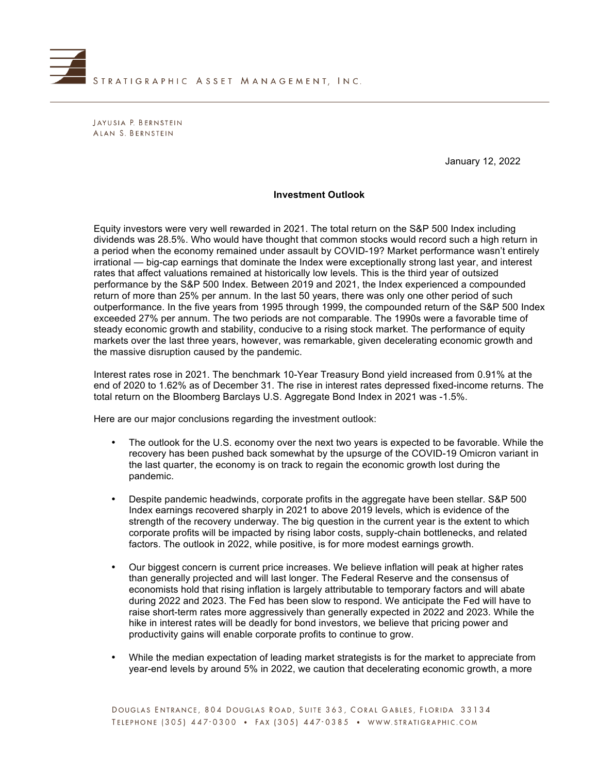

JAYUSIA P. BERNSTEIN ALAN S. BERNSTEIN

January 12, 2022

### **Investment Outlook**

Equity investors were very well rewarded in 2021. The total return on the S&P 500 Index including dividends was 28.5%. Who would have thought that common stocks would record such a high return in a period when the economy remained under assault by COVID-19? Market performance wasn't entirely irrational — big-cap earnings that dominate the Index were exceptionally strong last year, and interest rates that affect valuations remained at historically low levels. This is the third year of outsized performance by the S&P 500 Index. Between 2019 and 2021, the Index experienced a compounded return of more than 25% per annum. In the last 50 years, there was only one other period of such outperformance. In the five years from 1995 through 1999, the compounded return of the S&P 500 Index exceeded 27% per annum. The two periods are not comparable. The 1990s were a favorable time of steady economic growth and stability, conducive to a rising stock market. The performance of equity markets over the last three years, however, was remarkable, given decelerating economic growth and the massive disruption caused by the pandemic.

Interest rates rose in 2021. The benchmark 10-Year Treasury Bond yield increased from 0.91% at the end of 2020 to 1.62% as of December 31. The rise in interest rates depressed fixed-income returns. The total return on the Bloomberg Barclays U.S. Aggregate Bond Index in 2021 was -1.5%.

Here are our major conclusions regarding the investment outlook:

- The outlook for the U.S. economy over the next two years is expected to be favorable. While the recovery has been pushed back somewhat by the upsurge of the COVID-19 Omicron variant in the last quarter, the economy is on track to regain the economic growth lost during the pandemic.
- Despite pandemic headwinds, corporate profits in the aggregate have been stellar. S&P 500 Index earnings recovered sharply in 2021 to above 2019 levels, which is evidence of the strength of the recovery underway. The big question in the current year is the extent to which corporate profits will be impacted by rising labor costs, supply-chain bottlenecks, and related factors. The outlook in 2022, while positive, is for more modest earnings growth.
- Our biggest concern is current price increases. We believe inflation will peak at higher rates than generally projected and will last longer. The Federal Reserve and the consensus of economists hold that rising inflation is largely attributable to temporary factors and will abate during 2022 and 2023. The Fed has been slow to respond. We anticipate the Fed will have to raise short-term rates more aggressively than generally expected in 2022 and 2023. While the hike in interest rates will be deadly for bond investors, we believe that pricing power and productivity gains will enable corporate profits to continue to grow.
- While the median expectation of leading market strategists is for the market to appreciate from year-end levels by around 5% in 2022, we caution that decelerating economic growth, a more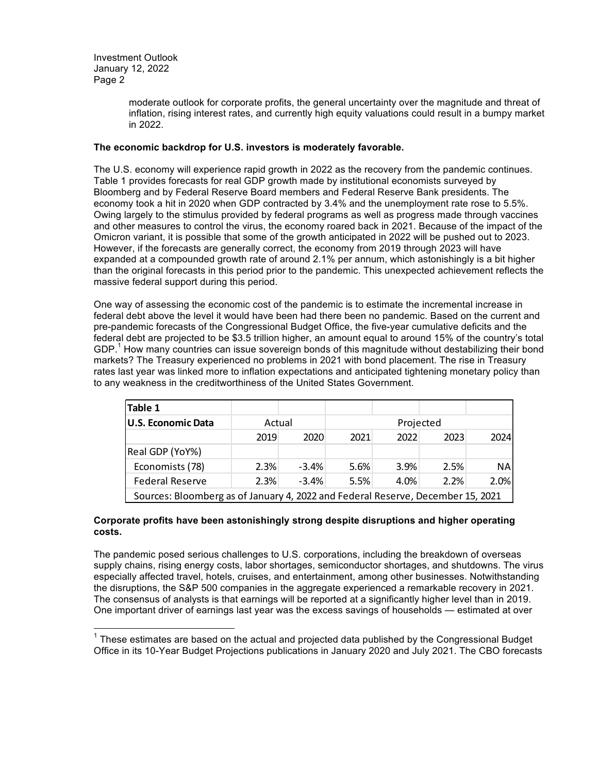> moderate outlook for corporate profits, the general uncertainty over the magnitude and threat of inflation, rising interest rates, and currently high equity valuations could result in a bumpy market in 2022.

# **The economic backdrop for U.S. investors is moderately favorable.**

The U.S. economy will experience rapid growth in 2022 as the recovery from the pandemic continues. Table 1 provides forecasts for real GDP growth made by institutional economists surveyed by Bloomberg and by Federal Reserve Board members and Federal Reserve Bank presidents. The economy took a hit in 2020 when GDP contracted by 3.4% and the unemployment rate rose to 5.5%. Owing largely to the stimulus provided by federal programs as well as progress made through vaccines and other measures to control the virus, the economy roared back in 2021. Because of the impact of the Omicron variant, it is possible that some of the growth anticipated in 2022 will be pushed out to 2023. However, if the forecasts are generally correct, the economy from 2019 through 2023 will have expanded at a compounded growth rate of around 2.1% per annum, which astonishingly is a bit higher than the original forecasts in this period prior to the pandemic. This unexpected achievement reflects the massive federal support during this period.

One way of assessing the economic cost of the pandemic is to estimate the incremental increase in federal debt above the level it would have been had there been no pandemic. Based on the current and pre-pandemic forecasts of the Congressional Budget Office, the five-year cumulative deficits and the federal debt are projected to be \$3.5 trillion higher, an amount equal to around 15% of the country's total GDP.<sup>1</sup> How many countries can issue sovereign bonds of this magnitude without destabilizing their bond markets? The Treasury experienced no problems in 2021 with bond placement. The rise in Treasury rates last year was linked more to inflation expectations and anticipated tightening monetary policy than to any weakness in the creditworthiness of the United States Government.

| Table 1                                                                         |        |         |           |      |      |           |  |
|---------------------------------------------------------------------------------|--------|---------|-----------|------|------|-----------|--|
| U.S. Economic Data                                                              | Actual |         | Projected |      |      |           |  |
|                                                                                 | 2019   | 2020    | 2021      | 2022 | 2023 | 2024      |  |
| Real GDP (YoY%)                                                                 |        |         |           |      |      |           |  |
| Economists (78)                                                                 | 2.3%   | $-3.4%$ | 5.6%      | 3.9% | 2.5% | <b>NA</b> |  |
| <b>Federal Reserve</b>                                                          | 2.3%   | $-3.4%$ | 5.5%      | 4.0% | 2.2% | 2.0%      |  |
| Sources: Bloomberg as of January 4, 2022 and Federal Reserve, December 15, 2021 |        |         |           |      |      |           |  |

### **Corporate profits have been astonishingly strong despite disruptions and higher operating costs.**

The pandemic posed serious challenges to U.S. corporations, including the breakdown of overseas supply chains, rising energy costs, labor shortages, semiconductor shortages, and shutdowns. The virus especially affected travel, hotels, cruises, and entertainment, among other businesses. Notwithstanding the disruptions, the S&P 500 companies in the aggregate experienced a remarkable recovery in 2021. The consensus of analysts is that earnings will be reported at a significantly higher level than in 2019. One important driver of earnings last year was the excess savings of households — estimated at over

 $1$  These estimates are based on the actual and projected data published by the Congressional Budget Office in its 10-Year Budget Projections publications in January 2020 and July 2021. The CBO forecasts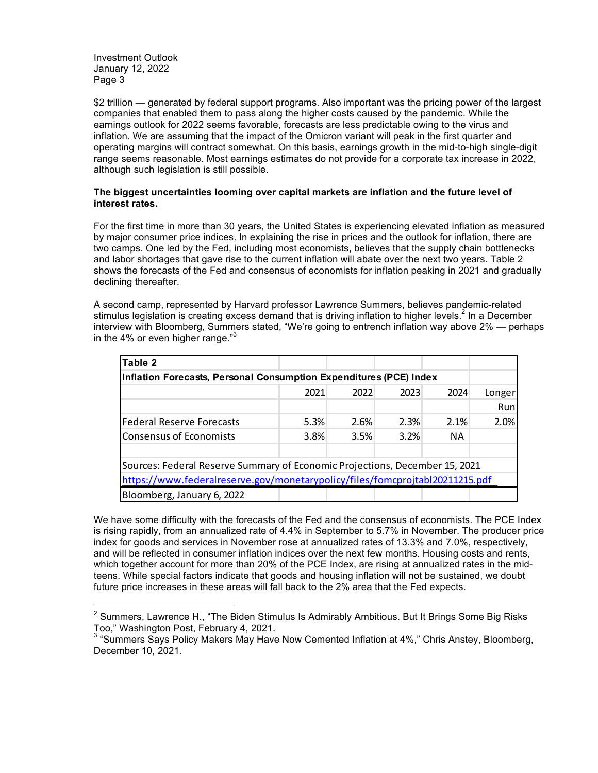\$2 trillion — generated by federal support programs. Also important was the pricing power of the largest companies that enabled them to pass along the higher costs caused by the pandemic. While the earnings outlook for 2022 seems favorable, forecasts are less predictable owing to the virus and inflation. We are assuming that the impact of the Omicron variant will peak in the first quarter and operating margins will contract somewhat. On this basis, earnings growth in the mid-to-high single-digit range seems reasonable. Most earnings estimates do not provide for a corporate tax increase in 2022, although such legislation is still possible.

# **The biggest uncertainties looming over capital markets are inflation and the future level of interest rates.**

For the first time in more than 30 years, the United States is experiencing elevated inflation as measured by major consumer price indices. In explaining the rise in prices and the outlook for inflation, there are two camps. One led by the Fed, including most economists, believes that the supply chain bottlenecks and labor shortages that gave rise to the current inflation will abate over the next two years. Table 2 shows the forecasts of the Fed and consensus of economists for inflation peaking in 2021 and gradually declining thereafter.

A second camp, represented by Harvard professor Lawrence Summers, believes pandemic-related stimulus legislation is creating excess demand that is driving inflation to higher levels.<sup>2</sup> In a December interview with Bloomberg, Summers stated, "We're going to entrench inflation way above 2% — perhaps in the 4% or even higher range. $3<sup>3</sup>$ 

| Table 2                                                                      |      |      |      |           |        |  |  |
|------------------------------------------------------------------------------|------|------|------|-----------|--------|--|--|
| Inflation Forecasts, Personal Consumption Expenditures (PCE) Index           |      |      |      |           |        |  |  |
|                                                                              | 2021 | 2022 | 2023 | 2024      | Longer |  |  |
|                                                                              |      |      |      |           | Run    |  |  |
| Federal Reserve Forecasts                                                    | 5.3% | 2.6% | 2.3% | 2.1%      | 2.0%   |  |  |
| Consensus of Economists                                                      | 3.8% | 3.5% | 3.2% | <b>NA</b> |        |  |  |
|                                                                              |      |      |      |           |        |  |  |
| Sources: Federal Reserve Summary of Economic Projections, December 15, 2021  |      |      |      |           |        |  |  |
| https://www.federalreserve.gov/monetarypolicy/files/fomcprojtabl20211215.pdf |      |      |      |           |        |  |  |
| Bloomberg, January 6, 2022                                                   |      |      |      |           |        |  |  |

We have some difficulty with the forecasts of the Fed and the consensus of economists. The PCE Index is rising rapidly, from an annualized rate of 4.4% in September to 5.7% in November. The producer price index for goods and services in November rose at annualized rates of 13.3% and 7.0%, respectively, and will be reflected in consumer inflation indices over the next few months. Housing costs and rents, which together account for more than 20% of the PCE Index, are rising at annualized rates in the midteens. While special factors indicate that goods and housing inflation will not be sustained, we doubt future price increases in these areas will fall back to the 2% area that the Fed expects.

 $^2$  Summers, Lawrence H., "The Biden Stimulus Is Admirably Ambitious. But It Brings Some Big Risks Too," Washington Post, February 4, 2021.<br><sup>3</sup> "Summers Says Policy Makers May Have Now Cemented Inflation at 4%," Chris Anstey, Bloomberg,

December 10, 2021.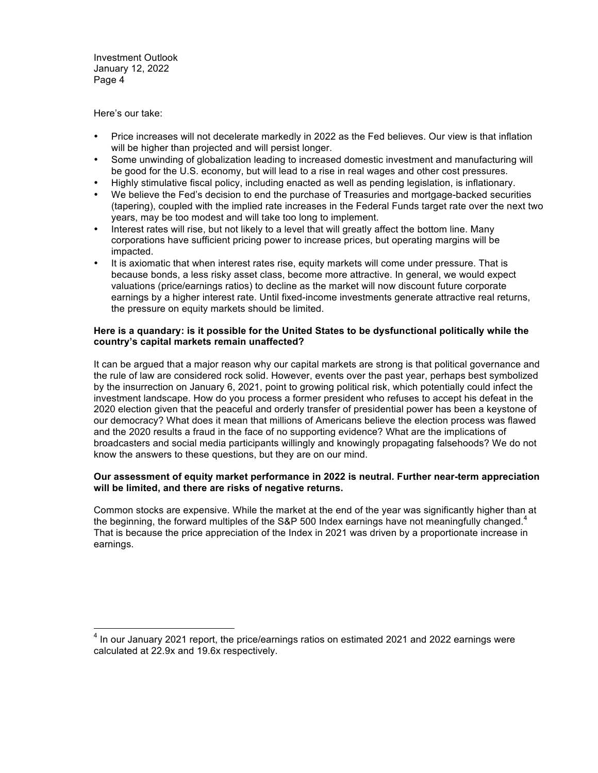Here's our take:

- Price increases will not decelerate markedly in 2022 as the Fed believes. Our view is that inflation will be higher than projected and will persist longer.
- Some unwinding of globalization leading to increased domestic investment and manufacturing will be good for the U.S. economy, but will lead to a rise in real wages and other cost pressures.
- Highly stimulative fiscal policy, including enacted as well as pending legislation, is inflationary.
- We believe the Fed's decision to end the purchase of Treasuries and mortgage-backed securities (tapering), coupled with the implied rate increases in the Federal Funds target rate over the next two years, may be too modest and will take too long to implement.
- Interest rates will rise, but not likely to a level that will greatly affect the bottom line. Many corporations have sufficient pricing power to increase prices, but operating margins will be impacted.
- It is axiomatic that when interest rates rise, equity markets will come under pressure. That is because bonds, a less risky asset class, become more attractive. In general, we would expect valuations (price/earnings ratios) to decline as the market will now discount future corporate earnings by a higher interest rate. Until fixed-income investments generate attractive real returns, the pressure on equity markets should be limited.

# **Here is a quandary: is it possible for the United States to be dysfunctional politically while the country's capital markets remain unaffected?**

It can be argued that a major reason why our capital markets are strong is that political governance and the rule of law are considered rock solid. However, events over the past year, perhaps best symbolized by the insurrection on January 6, 2021, point to growing political risk, which potentially could infect the investment landscape. How do you process a former president who refuses to accept his defeat in the 2020 election given that the peaceful and orderly transfer of presidential power has been a keystone of our democracy? What does it mean that millions of Americans believe the election process was flawed and the 2020 results a fraud in the face of no supporting evidence? What are the implications of broadcasters and social media participants willingly and knowingly propagating falsehoods? We do not know the answers to these questions, but they are on our mind.

### **Our assessment of equity market performance in 2022 is neutral. Further near-term appreciation will be limited, and there are risks of negative returns.**

Common stocks are expensive. While the market at the end of the year was significantly higher than at the beginning, the forward multiples of the S&P 500 Index earnings have not meaningfully changed.<sup>4</sup> That is because the price appreciation of the Index in 2021 was driven by a proportionate increase in earnings.

 $<sup>4</sup>$  In our January 2021 report, the price/earnings ratios on estimated 2021 and 2022 earnings were</sup> calculated at 22.9x and 19.6x respectively.